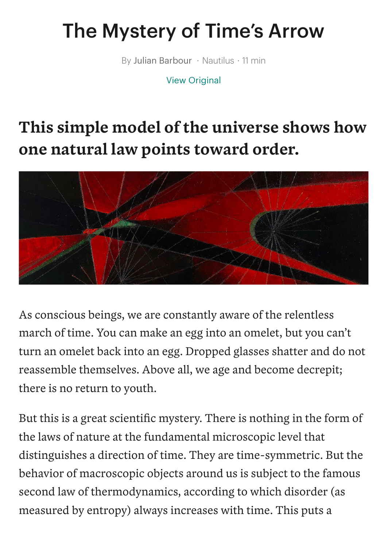## The Mystery of Time's Arrow

By Julian Barbour • Nautilus • 11 min

View [Original](http://nautil.us/issue/71/flow/the-mystery-of-times-arrow-rp?utm_source=pocket_mylist)

## **This simple model of the universe shows how one natural law points toward order.**



As conscious beings, we are constantly aware of the relentless march of time. You can make an egg into an omelet, but you can't turn an omelet back into an egg. Dropped glasses shatter and do not reassemble themselves. Above all, we age and become decrepit; there is no return to youth.

But this is a great scientific mystery. There is nothing in the form of the laws of nature at the fundamental microscopic level that distinguishes a direction of time. They are time-symmetric. But the behavior of macroscopic objects around us is subject to the famous second law of thermodynamics, according to which disorder (as measured by entropy) always increases with time. This puts a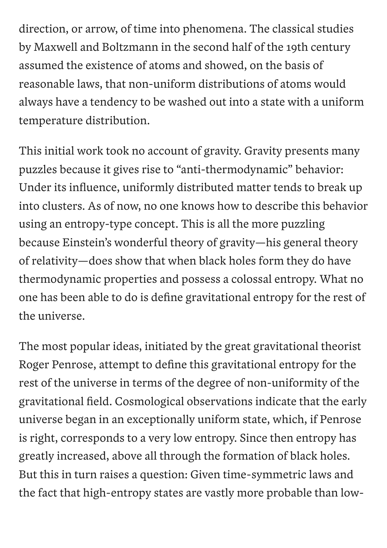direction, or arrow, of time into phenomena. The classical studies by Maxwell and Boltzmann in the second half of the 19th century assumed the existence of atoms and showed, on the basis of reasonable laws, that non-uniform distributions of atoms would always have a tendency to be washed out into a state with a uniform temperature distribution.

This initial work took no account of gravity. Gravity presents many puzzles because it gives rise to "anti-thermodynamic" behavior: Under its influence, uniformly distributed matter tends to break up into clusters. As of now, no one knows how to describe this behavior using an entropy-type concept. This is all the more puzzling because Einstein's wonderful theory of gravity—his general theory of relativity—does show that when black holes form they do have thermodynamic properties and possess a colossal entropy. What no one has been able to do is define gravitational entropy for the rest of the universe.

The most popular ideas, initiated by the great gravitational theorist Roger Penrose, attempt to define this gravitational entropy for the rest of the universe in terms of the degree of non-uniformity of the gravitational field. Cosmological observations indicate that the early universe began in an exceptionally uniform state, which, if Penrose is right, corresponds to a very low entropy. Since then entropy has greatly increased, above all through the formation of black holes. But this in turn raises a question: Given time-symmetric laws and the fact that high-entropy states are vastly more probable than low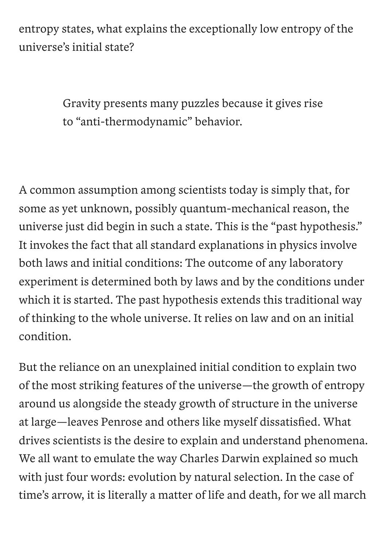entropy states, what explains the exceptionally low entropy of the universe's initial state?

> Gravity presents many puzzles because it gives rise to "anti-thermodynamic" behavior.

A common assumption among scientists today is simply that, for some as yet unknown, possibly quantum-mechanical reason, the universe just did begin in such a state. This is the "past hypothesis." It invokes the fact that all standard explanations in physics involve both laws and initial conditions: The outcome of any laboratory experiment is determined both by laws and by the conditions under which it is started. The past hypothesis extends this traditional way of thinking to the whole universe. It relies on law and on an initial condition.

But the reliance on an unexplained initial condition to explain two of the most striking features of the universe—the growth of entropy around us alongside the steady growth of structure in the universe at large—leaves Penrose and others like myself dissatisfied. What drives scientists is the desire to explain and understand phenomena. We all want to emulate the way Charles Darwin explained so much with just four words: evolution by natural selection. In the case of time's arrow, it is literally a matter of life and death, for we all march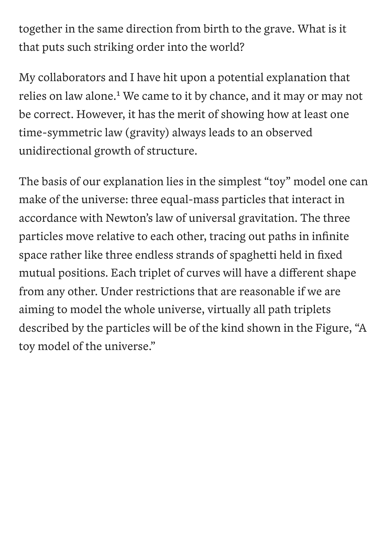together in the same direction from birth to the grave. What is it that puts such striking order into the world?

My collaborators and I have hit upon a potential explanation that relies on law alone.<sup>1</sup> We came to it by chance, and it may or may not be correct. However, it has the merit of showing how at least one time-symmetric law (gravity) always leads to an observed unidirectional growth of structure.

The basis of our explanation lies in the simplest "toy" model one can make of the universe: three equal-mass particles that interact in accordance with Newton's law of universal gravitation. The three particles move relative to each other, tracing out paths in infinite space rather like three endless strands of spaghetti held in fixed mutual positions. Each triplet of curves will have a different shape from any other. Under restrictions that are reasonable if we are aiming to model the whole universe, virtually all path triplets described by the particles will be of the kind shown in the Figure, "A toy model of the universe."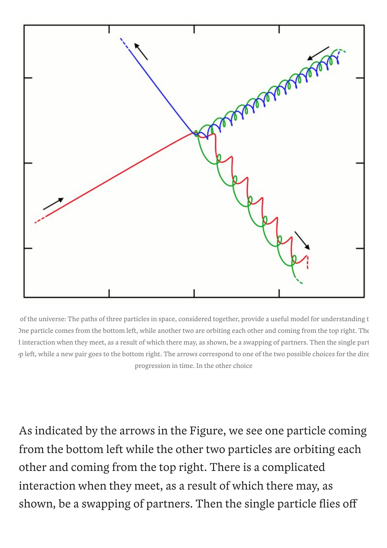

of the universe: The paths of three particles in space, considered together, provide a useful model for understanding t One particle comes from the bottom left, while another two are orbiting each other and coming from the top right. The d interaction when they meet, as a result of which there may, as shown, be a swapping of partners. Then the single part op left, while a new pair goes to the bottom right. The arrows correspond to one of the two possible choices for the dire progression in time. In the other choice

As indicated by the arrows in the Figure, we see one particle coming from the bottom left while the other two particles are orbiting each other and coming from the top right. There is a complicated interaction when they meet, as a result of which there may, as shown, be a swapping of partners. Then the single particle flies off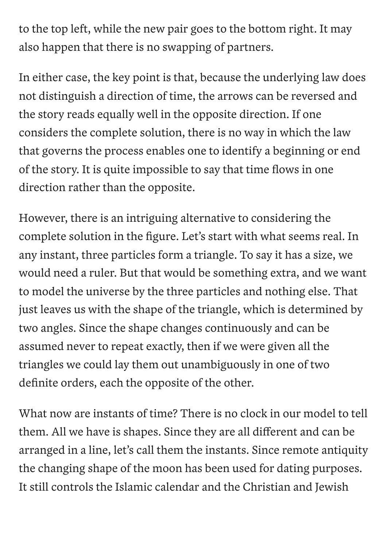to the top left, while the new pair goes to the bottom right. It may also happen that there is no swapping of partners.

In either case, the key point is that, because the underlying law does not distinguish a direction of time, the arrows can be reversed and the story reads equally well in the opposite direction. If one considers the complete solution, there is no way in which the law that governs the process enables one to identify a beginning or end of the story. It is quite impossible to say that time flows in one direction rather than the opposite.

However, there is an intriguing alternative to considering the complete solution in the figure. Let's start with what seems real. In any instant, three particles form a triangle. To say it has a size, we would need a ruler. But that would be something extra, and we want to model the universe by the three particles and nothing else. That just leaves us with the shape of the triangle, which is determined by two angles. Since the shape changes continuously and can be assumed never to repeat exactly, then if we were given all the triangles we could lay them out unambiguously in one of two definite orders, each the opposite of the other.

What now are instants of time? There is no clock in our model to tell them. All we have is shapes. Since they are all different and can be arranged in a line, let's call them the instants. Since remote antiquity the changing shape of the moon has been used for dating purposes. It still controls the Islamic calendar and the Christian and Jewish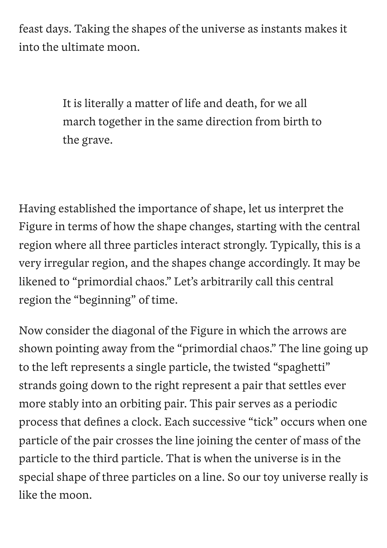feast days. Taking the shapes of the universe as instants makes it into the ultimate moon.

> It is literally a matter of life and death, for we all march together in the same direction from birth to the grave.

Having established the importance of shape, let us interpret the Figure in terms of how the shape changes, starting with the central region where all three particles interact strongly. Typically, this is a very irregular region, and the shapes change accordingly. It may be likened to "primordial chaos." Let's arbitrarily call this central region the "beginning" of time.

Now consider the diagonal of the Figure in which the arrows are shown pointing away from the "primordial chaos." The line going up to the left represents a single particle, the twisted "spaghetti" strands going down to the right represent a pair that settles ever more stably into an orbiting pair. This pair serves as a periodic process that defines a clock. Each successive "tick" occurs when one particle of the pair crosses the line joining the center of mass of the particle to the third particle. That is when the universe is in the special shape of three particles on a line. So our toy universe really is like the moon.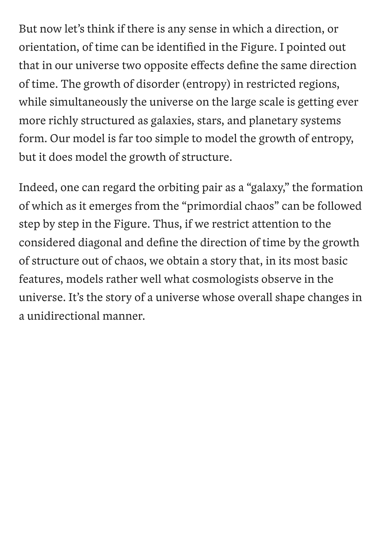But now let's think if there is any sense in which a direction, or orientation, of time can be identified in the Figure. I pointed out that in our universe two opposite effects define the same direction of time. The growth of disorder (entropy) in restricted regions, while simultaneously the universe on the large scale is getting ever more richly structured as galaxies, stars, and planetary systems form. Our model is far too simple to model the growth of entropy, but it does model the growth of structure.

Indeed, one can regard the orbiting pair as a "galaxy, " the formation of which as it emerges from the "primordial chaos" can be followed step by step in the Figure. Thus, if we restrict attention to the considered diagonal and define the direction of time by the growth of structure out of chaos, we obtain a story that, in its most basic features, models rather well what cosmologists observe in the universe. It's the story of a universe whose overall shape changes in a unidirectional manner.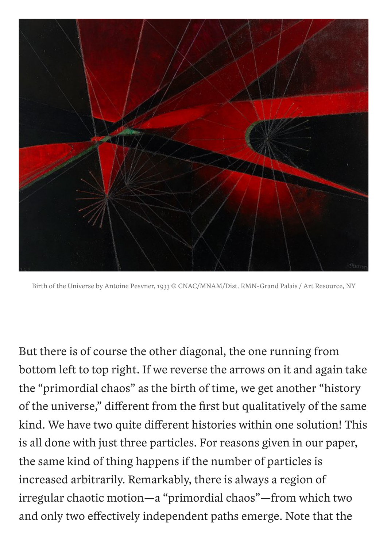

Birth of the Universe by Antoine Pesvner, 1933 © CNAC/MNAM/Dist. RMN-Grand Palais / Art Resource, NY

But there is of course the other diagonal, the one running from bottom left to top right. If we reverse the arrows on it and again take the "primordial chaos" as the birth of time, we get another "history of the universe, " different from the first but qualitatively of the same kind. We have two quite different histories within one solution! This is all done with just three particles. For reasons given in our paper, the same kind of thing happens if the number of particles is increased arbitrarily. Remarkably, there is always a region of irregular chaotic motion—a "primordial chaos"—from which two and only two effectively independent paths emerge. Note that the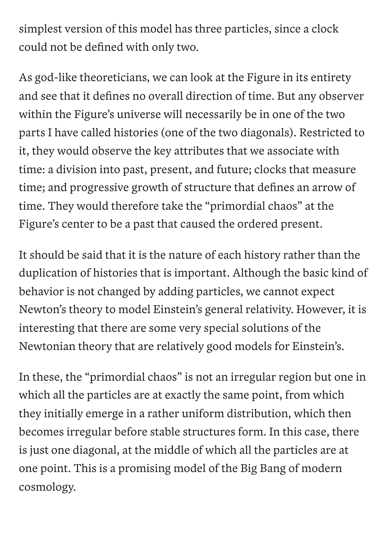simplest version of this model has three particles, since a clock could not be defined with only two.

As god-like theoreticians, we can look at the Figure in its entirety and see that it defines no overall direction of time. But any observer within the Figure's universe will necessarily be in one of the two parts I have called histories (one of the two diagonals). Restricted to it, they would observe the key attributes that we associate with time: a division into past, present, and future; clocks that measure time; and progressive growth of structure that defines an arrow of time. They would therefore take the "primordial chaos" at the Figure's center to be a past that caused the ordered present.

It should be said that it is the nature of each history rather than the duplication of histories that is important. Although the basic kind of behavior is not changed by adding particles, we cannot expect Newton's theory to model Einstein's general relativity. However, it is interesting that there are some very special solutions of the Newtonian theory that are relatively good models for Einstein's.

In these, the "primordial chaos" is not an irregular region but one in which all the particles are at exactly the same point, from which they initially emerge in a rather uniform distribution, which then becomes irregular before stable structures form. In this case, there is just one diagonal, at the middle of which all the particles are at one point. This is a promising model of the Big Bang of modern cosmology.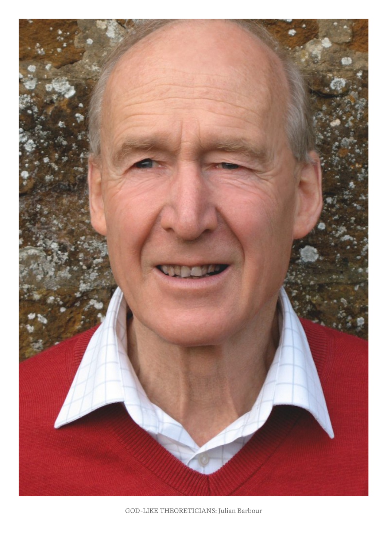

GOD-LIKE THEORETICIANS: Julian Barbour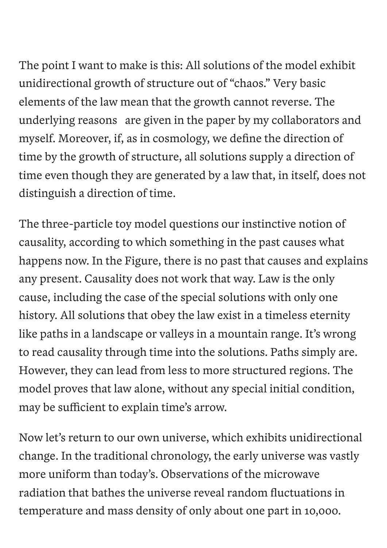The point I want to make is this: All solutions of the model exhibit unidirectional growth of structure out of "chaos." Very basic elements of the law mean that the growth cannot reverse. The underlying reasons are given in the paper by my collaborators and myself. Moreover, if, as in cosmology, we define the direction of time by the growth of structure, all solutions supply a direction of time even though they are generated by a law that, in itself, does not distinguish a direction of time.

The three-particle toy model questions our instinctive notion of causality, according to which something in the past causes what happens now. In the Figure, there is no past that causes and explains any present. Causality does not work that way. Law is the only cause, including the case of the special solutions with only one history. All solutions that obey the law exist in a timeless eternity like paths in a landscape or valleys in a mountain range. It's wrong to read causality through time into the solutions. Paths simply are. However, they can lead from less to more structured regions. The model proves that law alone, without any special initial condition, may be sufficient to explain time's arrow.

Now let's return to our own universe, which exhibits unidirectional change. In the traditional chronology, the early universe was vastly more uniform than today's. Observations of the microwave radiation that bathes the universe reveal random fluctuations in temperature and mass density of only about one part in 10,000.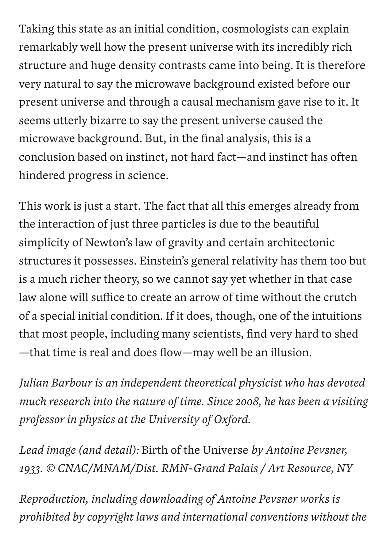Taking this state as an initial condition, cosmologists can explain remarkably well how the present universe with its incredibly rich structure and huge density contrasts came into being. It is therefore very natural to say the microwave background existed before our present universe and through a causal mechanism gave rise to it. It seems utterly bizarre to say the present universe caused the microwave background. But, in the final analysis, this is a conclusion based on instinct, not hard fact—and instinct has often hindered progress in science.

This work is just a start. The fact that all this emerges already from the interaction of just three particles is due to the beautiful simplicity of Newton's law of gravity and certain architectonic structures it possesses. Einstein's general relativity has them too but is a much richer theory, so we cannot say yet whether in that case law alone will suffice to create an arrow of time without the crutch of a special initial condition. If it does, though, one of the intuitions that most people, including many scientists, find very hard to shed —that time is real and does flow—may well be an illusion.

*Julian Barbour is an independent theoretical physicist who has devoted much research into the nature of time. Since 2008, he has been a visiting professor in physics at the University of Oxford.*

*Lead image (and detail):* Birth of the Universe *by Antoine Pevsner, 1933. © CNAC/MNAM/Dist. RMN-Grand Palais / Art Resource, NY*

*Reproduction, including downloading of Antoine Pevsner works is prohibited by copyright laws and international conventions without the*